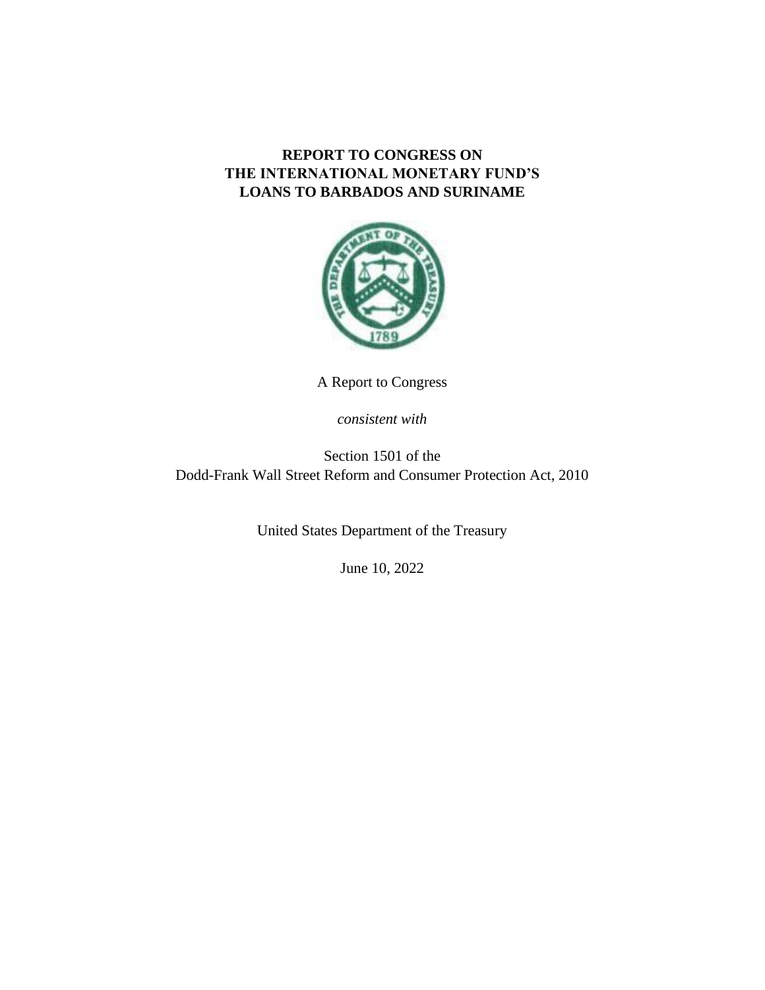# **REPORT TO CONGRESS ON THE INTERNATIONAL MONETARY FUND'S LOANS TO BARBADOS AND SURINAME**



A Report to Congress

*consistent with*

Section 1501 of the Dodd-Frank Wall Street Reform and Consumer Protection Act, 2010

United States Department of the Treasury

June 10, 2022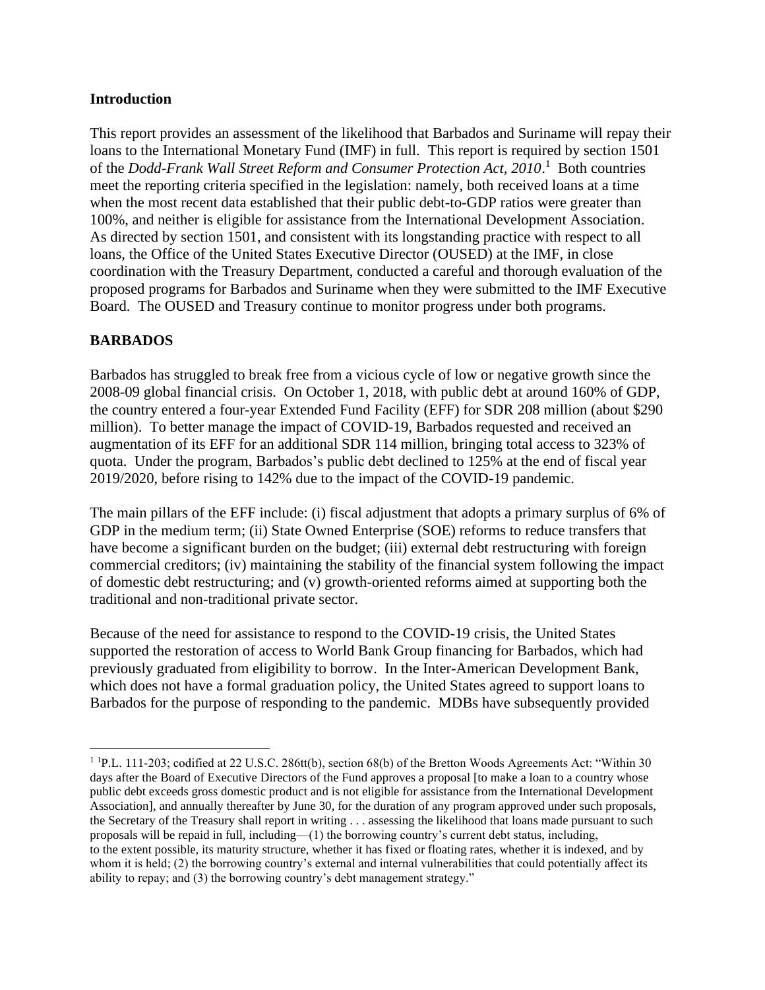#### **Introduction**

This report provides an assessment of the likelihood that Barbados and Suriname will repay their loans to the International Monetary Fund (IMF) in full. This report is required by section 1501 of the *Dodd-Frank Wall Street Reform and Consumer Protection Act, 2010*. <sup>1</sup> Both countries meet the reporting criteria specified in the legislation: namely, both received loans at a time when the most recent data established that their public debt-to-GDP ratios were greater than 100%, and neither is eligible for assistance from the International Development Association. As directed by section 1501, and consistent with its longstanding practice with respect to all loans, the Office of the United States Executive Director (OUSED) at the IMF, in close coordination with the Treasury Department, conducted a careful and thorough evaluation of the proposed programs for Barbados and Suriname when they were submitted to the IMF Executive Board. The OUSED and Treasury continue to monitor progress under both programs.

## **BARBADOS**

Barbados has struggled to break free from a vicious cycle of low or negative growth since the 2008-09 global financial crisis. On October 1, 2018, with public debt at around 160% of GDP, the country entered a four-year Extended Fund Facility (EFF) for SDR 208 million (about \$290 million). To better manage the impact of COVID-19, Barbados requested and received an augmentation of its EFF for an additional SDR 114 million, bringing total access to 323% of quota. Under the program, Barbados's public debt declined to 125% at the end of fiscal year 2019/2020, before rising to 142% due to the impact of the COVID-19 pandemic.

The main pillars of the EFF include: (i) fiscal adjustment that adopts a primary surplus of 6% of GDP in the medium term; (ii) State Owned Enterprise (SOE) reforms to reduce transfers that have become a significant burden on the budget; (iii) external debt restructuring with foreign commercial creditors; (iv) maintaining the stability of the financial system following the impact of domestic debt restructuring; and (v) growth-oriented reforms aimed at supporting both the traditional and non-traditional private sector.

Because of the need for assistance to respond to the COVID-19 crisis, the United States supported the restoration of access to World Bank Group financing for Barbados, which had previously graduated from eligibility to borrow. In the Inter-American Development Bank, which does not have a formal graduation policy, the United States agreed to support loans to Barbados for the purpose of responding to the pandemic. MDBs have subsequently provided

 $1$  <sup>1</sup> P.L. 111-203; codified at 22 U.S.C. 286tt(b), section 68(b) of the Bretton Woods Agreements Act: "Within 30 days after the Board of Executive Directors of the Fund approves a proposal [to make a loan to a country whose public debt exceeds gross domestic product and is not eligible for assistance from the International Development Association], and annually thereafter by June 30, for the duration of any program approved under such proposals, the Secretary of the Treasury shall report in writing . . . assessing the likelihood that loans made pursuant to such proposals will be repaid in full, including—(1) the borrowing country's current debt status, including, to the extent possible, its maturity structure, whether it has fixed or floating rates, whether it is indexed, and by whom it is held; (2) the borrowing country's external and internal vulnerabilities that could potentially affect its ability to repay; and (3) the borrowing country's debt management strategy."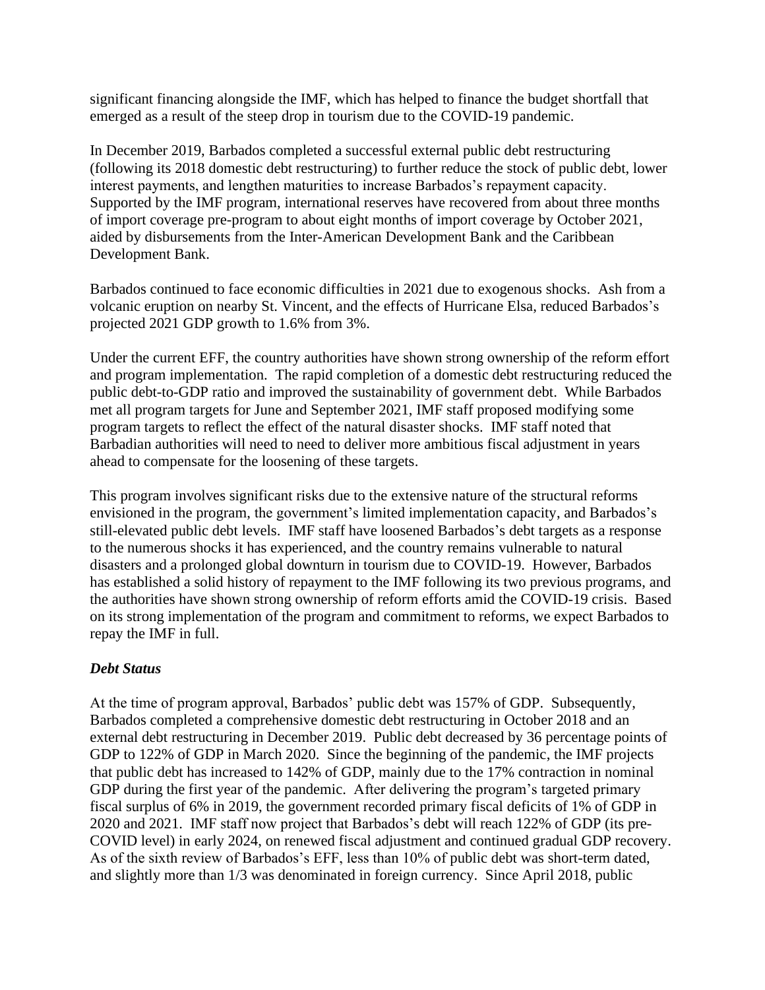significant financing alongside the IMF, which has helped to finance the budget shortfall that emerged as a result of the steep drop in tourism due to the COVID-19 pandemic.

In December 2019, Barbados completed a successful external public debt restructuring (following its 2018 domestic debt restructuring) to further reduce the stock of public debt, lower interest payments, and lengthen maturities to increase Barbados's repayment capacity. Supported by the IMF program, international reserves have recovered from about three months of import coverage pre-program to about eight months of import coverage by October 2021, aided by disbursements from the Inter-American Development Bank and the Caribbean Development Bank.

Barbados continued to face economic difficulties in 2021 due to exogenous shocks. Ash from a volcanic eruption on nearby St. Vincent, and the effects of Hurricane Elsa, reduced Barbados's projected 2021 GDP growth to 1.6% from 3%.

Under the current EFF, the country authorities have shown strong ownership of the reform effort and program implementation. The rapid completion of a domestic debt restructuring reduced the public debt-to-GDP ratio and improved the sustainability of government debt. While Barbados met all program targets for June and September 2021, IMF staff proposed modifying some program targets to reflect the effect of the natural disaster shocks. IMF staff noted that Barbadian authorities will need to need to deliver more ambitious fiscal adjustment in years ahead to compensate for the loosening of these targets.

This program involves significant risks due to the extensive nature of the structural reforms envisioned in the program, the government's limited implementation capacity, and Barbados's still-elevated public debt levels. IMF staff have loosened Barbados's debt targets as a response to the numerous shocks it has experienced, and the country remains vulnerable to natural disasters and a prolonged global downturn in tourism due to COVID-19. However, Barbados has established a solid history of repayment to the IMF following its two previous programs, and the authorities have shown strong ownership of reform efforts amid the COVID-19 crisis. Based on its strong implementation of the program and commitment to reforms, we expect Barbados to repay the IMF in full.

## *Debt Status*

At the time of program approval, Barbados' public debt was 157% of GDP. Subsequently, Barbados completed a comprehensive domestic debt restructuring in October 2018 and an external debt restructuring in December 2019. Public debt decreased by 36 percentage points of GDP to 122% of GDP in March 2020. Since the beginning of the pandemic, the IMF projects that public debt has increased to 142% of GDP, mainly due to the 17% contraction in nominal GDP during the first year of the pandemic. After delivering the program's targeted primary fiscal surplus of 6% in 2019, the government recorded primary fiscal deficits of 1% of GDP in 2020 and 2021. IMF staff now project that Barbados's debt will reach 122% of GDP (its pre-COVID level) in early 2024, on renewed fiscal adjustment and continued gradual GDP recovery. As of the sixth review of Barbados's EFF, less than 10% of public debt was short-term dated, and slightly more than 1/3 was denominated in foreign currency. Since April 2018, public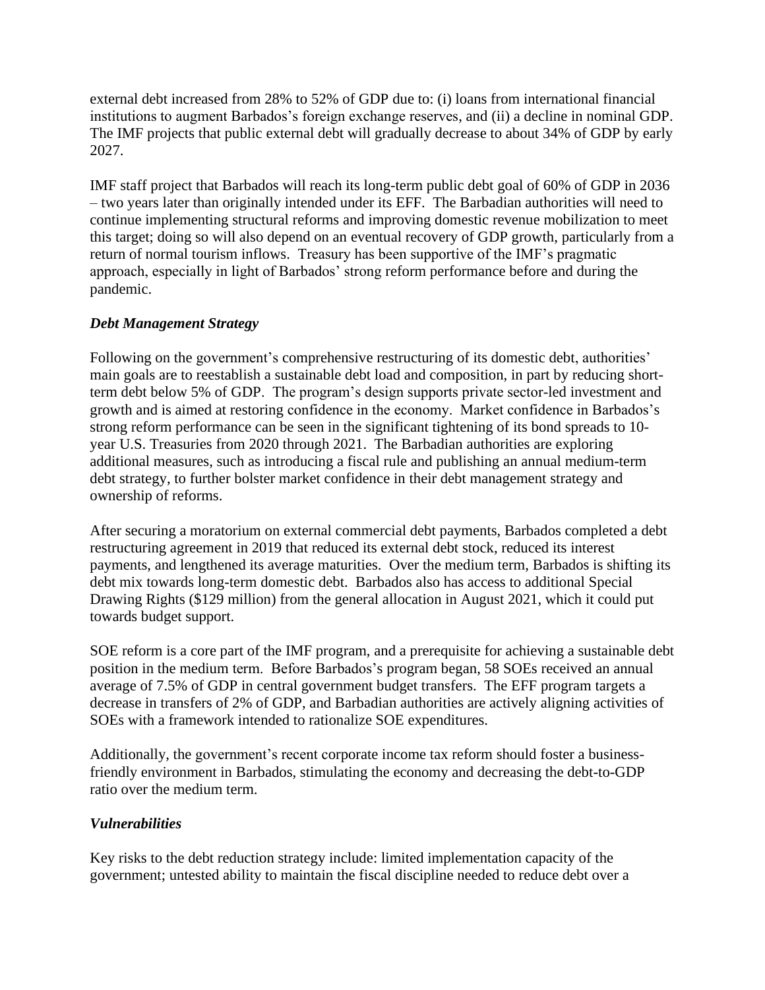external debt increased from 28% to 52% of GDP due to: (i) loans from international financial institutions to augment Barbados's foreign exchange reserves, and (ii) a decline in nominal GDP. The IMF projects that public external debt will gradually decrease to about 34% of GDP by early 2027.

IMF staff project that Barbados will reach its long-term public debt goal of 60% of GDP in 2036 – two years later than originally intended under its EFF. The Barbadian authorities will need to continue implementing structural reforms and improving domestic revenue mobilization to meet this target; doing so will also depend on an eventual recovery of GDP growth, particularly from a return of normal tourism inflows. Treasury has been supportive of the IMF's pragmatic approach, especially in light of Barbados' strong reform performance before and during the pandemic.

## *Debt Management Strategy*

Following on the government's comprehensive restructuring of its domestic debt, authorities' main goals are to reestablish a sustainable debt load and composition, in part by reducing shortterm debt below 5% of GDP. The program's design supports private sector-led investment and growth and is aimed at restoring confidence in the economy. Market confidence in Barbados's strong reform performance can be seen in the significant tightening of its bond spreads to 10 year U.S. Treasuries from 2020 through 2021. The Barbadian authorities are exploring additional measures, such as introducing a fiscal rule and publishing an annual medium-term debt strategy, to further bolster market confidence in their debt management strategy and ownership of reforms.

After securing a moratorium on external commercial debt payments, Barbados completed a debt restructuring agreement in 2019 that reduced its external debt stock, reduced its interest payments, and lengthened its average maturities. Over the medium term, Barbados is shifting its debt mix towards long-term domestic debt. Barbados also has access to additional Special Drawing Rights (\$129 million) from the general allocation in August 2021, which it could put towards budget support.

SOE reform is a core part of the IMF program, and a prerequisite for achieving a sustainable debt position in the medium term. Before Barbados's program began, 58 SOEs received an annual average of 7.5% of GDP in central government budget transfers. The EFF program targets a decrease in transfers of 2% of GDP, and Barbadian authorities are actively aligning activities of SOEs with a framework intended to rationalize SOE expenditures.

Additionally, the government's recent corporate income tax reform should foster a businessfriendly environment in Barbados, stimulating the economy and decreasing the debt-to-GDP ratio over the medium term.

## *Vulnerabilities*

Key risks to the debt reduction strategy include: limited implementation capacity of the government; untested ability to maintain the fiscal discipline needed to reduce debt over a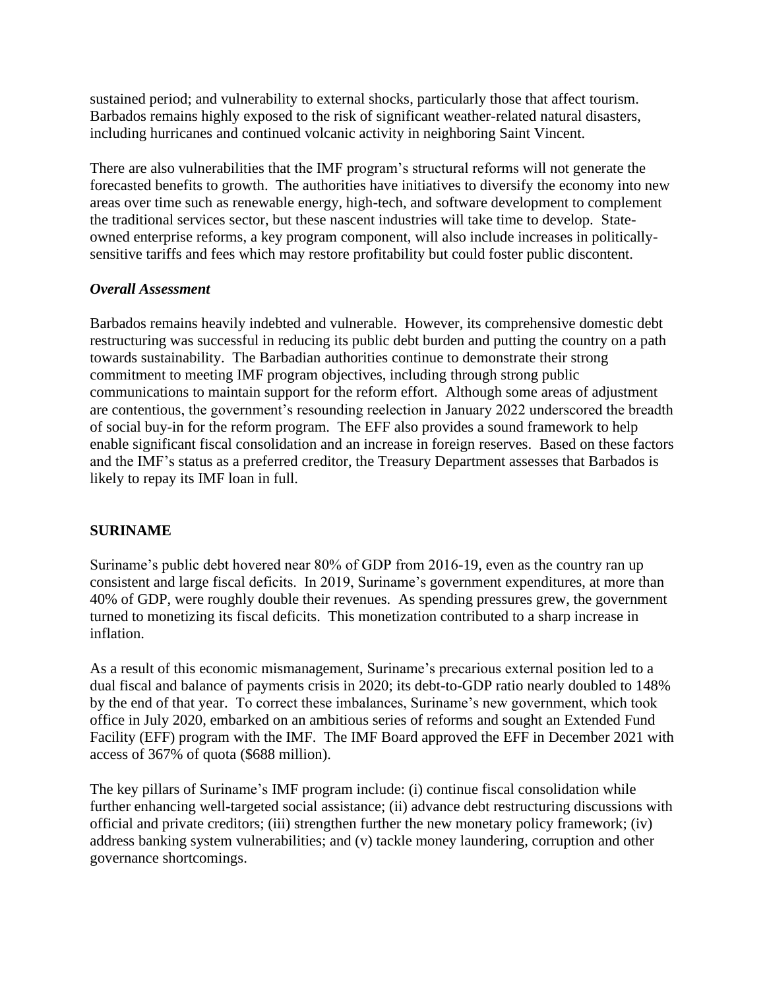sustained period; and vulnerability to external shocks, particularly those that affect tourism. Barbados remains highly exposed to the risk of significant weather-related natural disasters, including hurricanes and continued volcanic activity in neighboring Saint Vincent.

There are also vulnerabilities that the IMF program's structural reforms will not generate the forecasted benefits to growth. The authorities have initiatives to diversify the economy into new areas over time such as renewable energy, high-tech, and software development to complement the traditional services sector, but these nascent industries will take time to develop. Stateowned enterprise reforms, a key program component, will also include increases in politicallysensitive tariffs and fees which may restore profitability but could foster public discontent.

#### *Overall Assessment*

Barbados remains heavily indebted and vulnerable. However, its comprehensive domestic debt restructuring was successful in reducing its public debt burden and putting the country on a path towards sustainability. The Barbadian authorities continue to demonstrate their strong commitment to meeting IMF program objectives, including through strong public communications to maintain support for the reform effort. Although some areas of adjustment are contentious, the government's resounding reelection in January 2022 underscored the breadth of social buy-in for the reform program. The EFF also provides a sound framework to help enable significant fiscal consolidation and an increase in foreign reserves. Based on these factors and the IMF's status as a preferred creditor, the Treasury Department assesses that Barbados is likely to repay its IMF loan in full.

## **SURINAME**

Suriname's public debt hovered near 80% of GDP from 2016-19, even as the country ran up consistent and large fiscal deficits. In 2019, Suriname's government expenditures, at more than 40% of GDP, were roughly double their revenues. As spending pressures grew, the government turned to monetizing its fiscal deficits. This monetization contributed to a sharp increase in inflation.

As a result of this economic mismanagement, Suriname's precarious external position led to a dual fiscal and balance of payments crisis in 2020; its debt-to-GDP ratio nearly doubled to 148% by the end of that year. To correct these imbalances, Suriname's new government, which took office in July 2020, embarked on an ambitious series of reforms and sought an Extended Fund Facility (EFF) program with the IMF. The IMF Board approved the EFF in December 2021 with access of 367% of quota (\$688 million).

The key pillars of Suriname's IMF program include: (i) continue fiscal consolidation while further enhancing well-targeted social assistance; (ii) advance debt restructuring discussions with official and private creditors; (iii) strengthen further the new monetary policy framework; (iv) address banking system vulnerabilities; and (v) tackle money laundering, corruption and other governance shortcomings.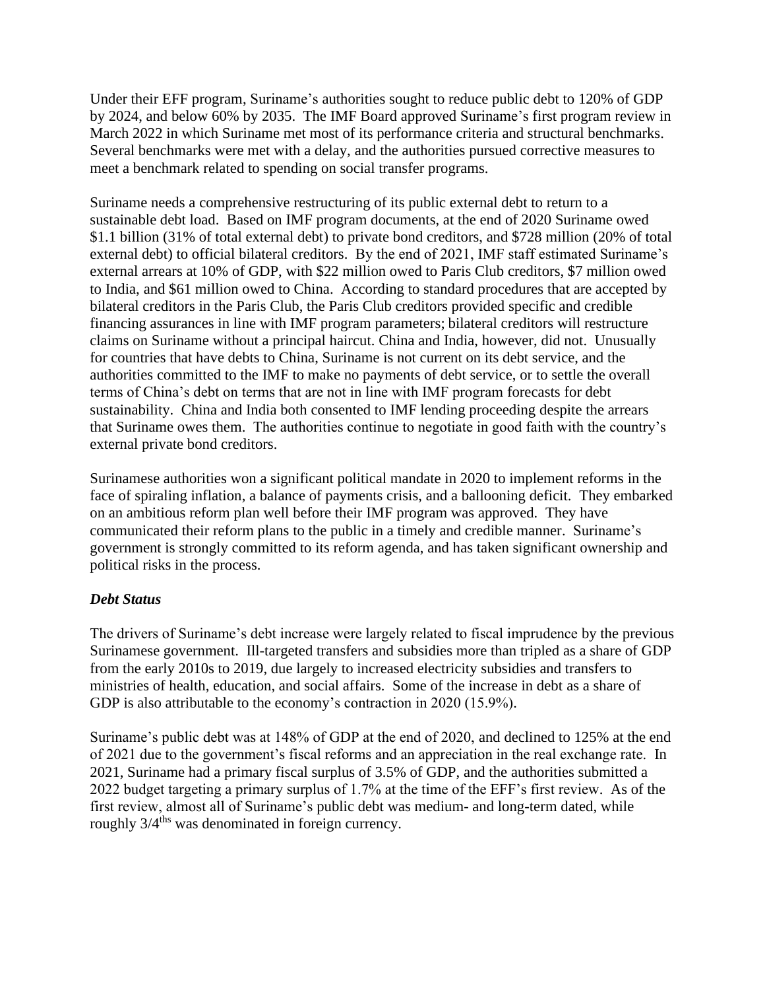Under their EFF program, Suriname's authorities sought to reduce public debt to 120% of GDP by 2024, and below 60% by 2035. The IMF Board approved Suriname's first program review in March 2022 in which Suriname met most of its performance criteria and structural benchmarks. Several benchmarks were met with a delay, and the authorities pursued corrective measures to meet a benchmark related to spending on social transfer programs.

Suriname needs a comprehensive restructuring of its public external debt to return to a sustainable debt load. Based on IMF program documents, at the end of 2020 Suriname owed \$1.1 billion (31% of total external debt) to private bond creditors, and \$728 million (20% of total external debt) to official bilateral creditors. By the end of 2021, IMF staff estimated Suriname's external arrears at 10% of GDP, with \$22 million owed to Paris Club creditors, \$7 million owed to India, and \$61 million owed to China. According to standard procedures that are accepted by bilateral creditors in the Paris Club, the Paris Club creditors provided specific and credible financing assurances in line with IMF program parameters; bilateral creditors will restructure claims on Suriname without a principal haircut. China and India, however, did not. Unusually for countries that have debts to China, Suriname is not current on its debt service, and the authorities committed to the IMF to make no payments of debt service, or to settle the overall terms of China's debt on terms that are not in line with IMF program forecasts for debt sustainability. China and India both consented to IMF lending proceeding despite the arrears that Suriname owes them. The authorities continue to negotiate in good faith with the country's external private bond creditors.

Surinamese authorities won a significant political mandate in 2020 to implement reforms in the face of spiraling inflation, a balance of payments crisis, and a ballooning deficit. They embarked on an ambitious reform plan well before their IMF program was approved. They have communicated their reform plans to the public in a timely and credible manner. Suriname's government is strongly committed to its reform agenda, and has taken significant ownership and political risks in the process.

#### *Debt Status*

The drivers of Suriname's debt increase were largely related to fiscal imprudence by the previous Surinamese government. Ill-targeted transfers and subsidies more than tripled as a share of GDP from the early 2010s to 2019, due largely to increased electricity subsidies and transfers to ministries of health, education, and social affairs. Some of the increase in debt as a share of GDP is also attributable to the economy's contraction in 2020 (15.9%).

Suriname's public debt was at 148% of GDP at the end of 2020, and declined to 125% at the end of 2021 due to the government's fiscal reforms and an appreciation in the real exchange rate. In 2021, Suriname had a primary fiscal surplus of 3.5% of GDP, and the authorities submitted a 2022 budget targeting a primary surplus of 1.7% at the time of the EFF's first review. As of the first review, almost all of Suriname's public debt was medium- and long-term dated, while roughly  $3/4$ <sup>ths</sup> was denominated in foreign currency.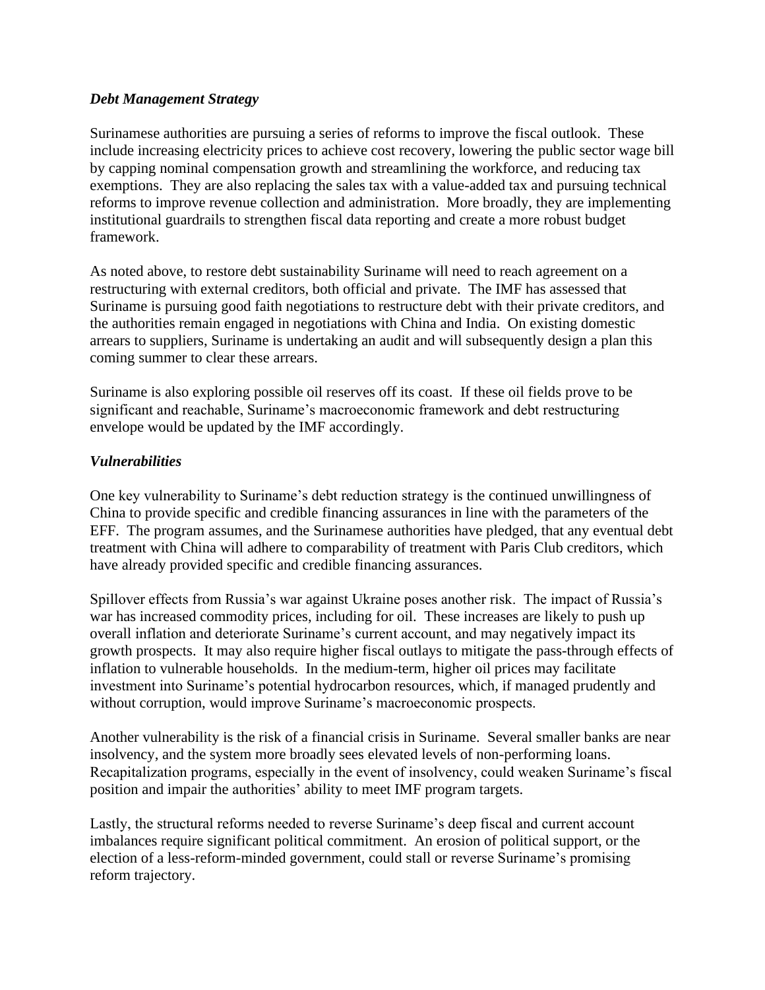#### *Debt Management Strategy*

Surinamese authorities are pursuing a series of reforms to improve the fiscal outlook. These include increasing electricity prices to achieve cost recovery, lowering the public sector wage bill by capping nominal compensation growth and streamlining the workforce, and reducing tax exemptions. They are also replacing the sales tax with a value-added tax and pursuing technical reforms to improve revenue collection and administration. More broadly, they are implementing institutional guardrails to strengthen fiscal data reporting and create a more robust budget framework.

As noted above, to restore debt sustainability Suriname will need to reach agreement on a restructuring with external creditors, both official and private. The IMF has assessed that Suriname is pursuing good faith negotiations to restructure debt with their private creditors, and the authorities remain engaged in negotiations with China and India. On existing domestic arrears to suppliers, Suriname is undertaking an audit and will subsequently design a plan this coming summer to clear these arrears.

Suriname is also exploring possible oil reserves off its coast. If these oil fields prove to be significant and reachable, Suriname's macroeconomic framework and debt restructuring envelope would be updated by the IMF accordingly.

## *Vulnerabilities*

One key vulnerability to Suriname's debt reduction strategy is the continued unwillingness of China to provide specific and credible financing assurances in line with the parameters of the EFF. The program assumes, and the Surinamese authorities have pledged, that any eventual debt treatment with China will adhere to comparability of treatment with Paris Club creditors, which have already provided specific and credible financing assurances.

Spillover effects from Russia's war against Ukraine poses another risk. The impact of Russia's war has increased commodity prices, including for oil. These increases are likely to push up overall inflation and deteriorate Suriname's current account, and may negatively impact its growth prospects. It may also require higher fiscal outlays to mitigate the pass-through effects of inflation to vulnerable households. In the medium-term, higher oil prices may facilitate investment into Suriname's potential hydrocarbon resources, which, if managed prudently and without corruption, would improve Suriname's macroeconomic prospects.

Another vulnerability is the risk of a financial crisis in Suriname. Several smaller banks are near insolvency, and the system more broadly sees elevated levels of non-performing loans. Recapitalization programs, especially in the event of insolvency, could weaken Suriname's fiscal position and impair the authorities' ability to meet IMF program targets.

Lastly, the structural reforms needed to reverse Suriname's deep fiscal and current account imbalances require significant political commitment. An erosion of political support, or the election of a less-reform-minded government, could stall or reverse Suriname's promising reform trajectory.